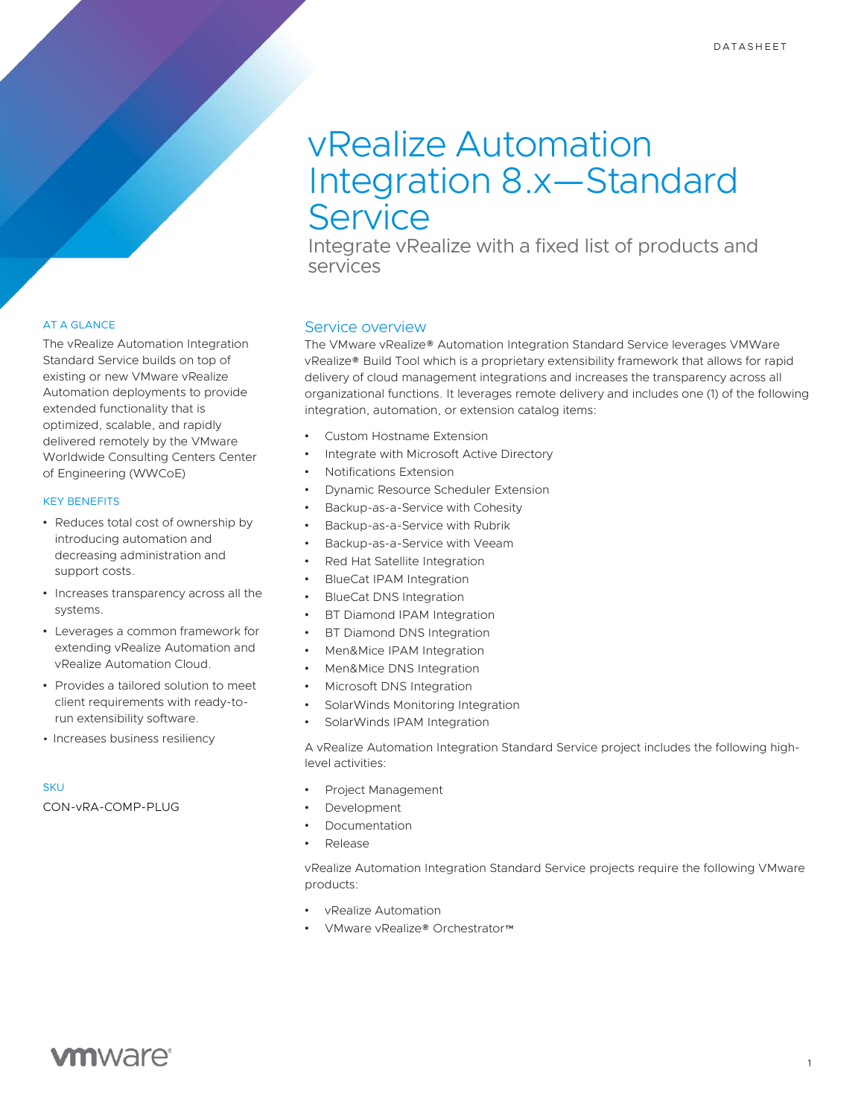# vRealize Automation Integration 8.x—Standard **Service**

Integrate vRealize with a fixed list of products and services

# AT A GLANCE

The vRealize Automation Integration Standard Service builds on top of existing or new VMware vRealize Automation deployments to provide extended functionality that is optimized, scalable, and rapidly delivered remotely by the VMware Worldwide Consulting Centers Center of Engineering (WWCoE)

### KEY BENEFITS

- Reduces total cost of ownership by introducing automation and decreasing administration and support costs.
- Increases transparency across all the systems.
- Leverages a common framework for extending vRealize Automation and vRealize Automation Cloud.
- Provides a tailored solution to meet client requirements with ready-torun extensibility software.
- Increases business resiliency

#### **SKU**

CON-vRA-COMP-PLUG

### Service overview

The VMware vRealize® Automation Integration Standard Service leverages VMWare vRealize® Build Tool which is a proprietary extensibility framework that allows for rapid delivery of cloud management integrations and increases the transparency across all organizational functions. It leverages remote delivery and includes one (1) of the following integration, automation, or extension catalog items:

- Custom Hostname Extension
- Integrate with Microsoft Active Directory
- Notifications Extension
- Dynamic Resource Scheduler Extension
- Backup-as-a-Service with Cohesity
- Backup-as-a-Service with Rubrik
- Backup-as-a-Service with Veeam
- Red Hat Satellite Integration
- BlueCat IPAM Integration
- BlueCat DNS Integration
- **BT Diamond IPAM Integration**
- **BT Diamond DNS Integration**
- Men&Mice IPAM Integration
- Men&Mice DNS Integration
- Microsoft DNS Integration
- SolarWinds Monitoring Integration
- SolarWinds IPAM Integration

A vRealize Automation Integration Standard Service project includes the following highlevel activities:

- Project Management
- **Development**
- Documentation
- Release

vRealize Automation Integration Standard Service projects require the following VMware products:

- vRealize Automation
- VMware vRealize® Orchestrator™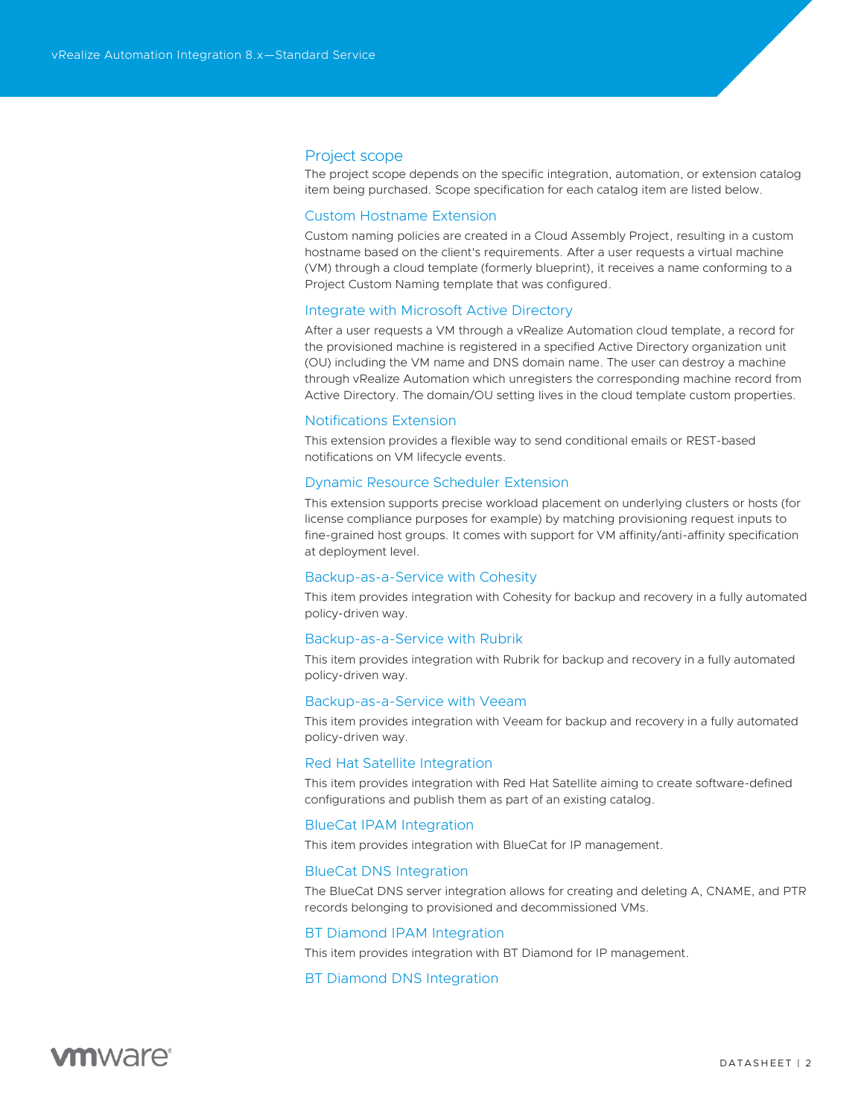### Project scope

The project scope depends on the specific integration, automation, or extension catalog item being purchased. Scope specification for each catalog item are listed below.

#### Custom Hostname Extension

Custom naming policies are created in a Cloud Assembly Project, resulting in a custom hostname based on the client's requirements. After a user requests a virtual machine (VM) through a cloud template (formerly blueprint), it receives a name conforming to a Project Custom Naming template that was configured.

# Integrate with Microsoft Active Directory

After a user requests a VM through a vRealize Automation cloud template, a record for the provisioned machine is registered in a specified Active Directory organization unit (OU) including the VM name and DNS domain name. The user can destroy a machine through vRealize Automation which unregisters the corresponding machine record from Active Directory. The domain/OU setting lives in the cloud template custom properties.

#### Notifications Extension

This extension provides a flexible way to send conditional emails or REST-based notifications on VM lifecycle events.

#### Dynamic Resource Scheduler Extension

This extension supports precise workload placement on underlying clusters or hosts (for license compliance purposes for example) by matching provisioning request inputs to fine-grained host groups. It comes with support for VM affinity/anti-affinity specification at deployment level.

### Backup-as-a-Service with Cohesity

This item provides integration with Cohesity for backup and recovery in a fully automated policy-driven way.

#### Backup-as-a-Service with Rubrik

This item provides integration with Rubrik for backup and recovery in a fully automated policy-driven way.

#### Backup-as-a-Service with Veeam

This item provides integration with Veeam for backup and recovery in a fully automated policy-driven way.

#### Red Hat Satellite Integration

This item provides integration with Red Hat Satellite aiming to create software-defined configurations and publish them as part of an existing catalog.

#### BlueCat IPAM Integration

This item provides integration with BlueCat for IP management.

#### BlueCat DNS Integration

The BlueCat DNS server integration allows for creating and deleting A, CNAME, and PTR records belonging to provisioned and decommissioned VMs.

#### BT Diamond IPAM Integration

This item provides integration with BT Diamond for IP management.

# BT Diamond DNS Integration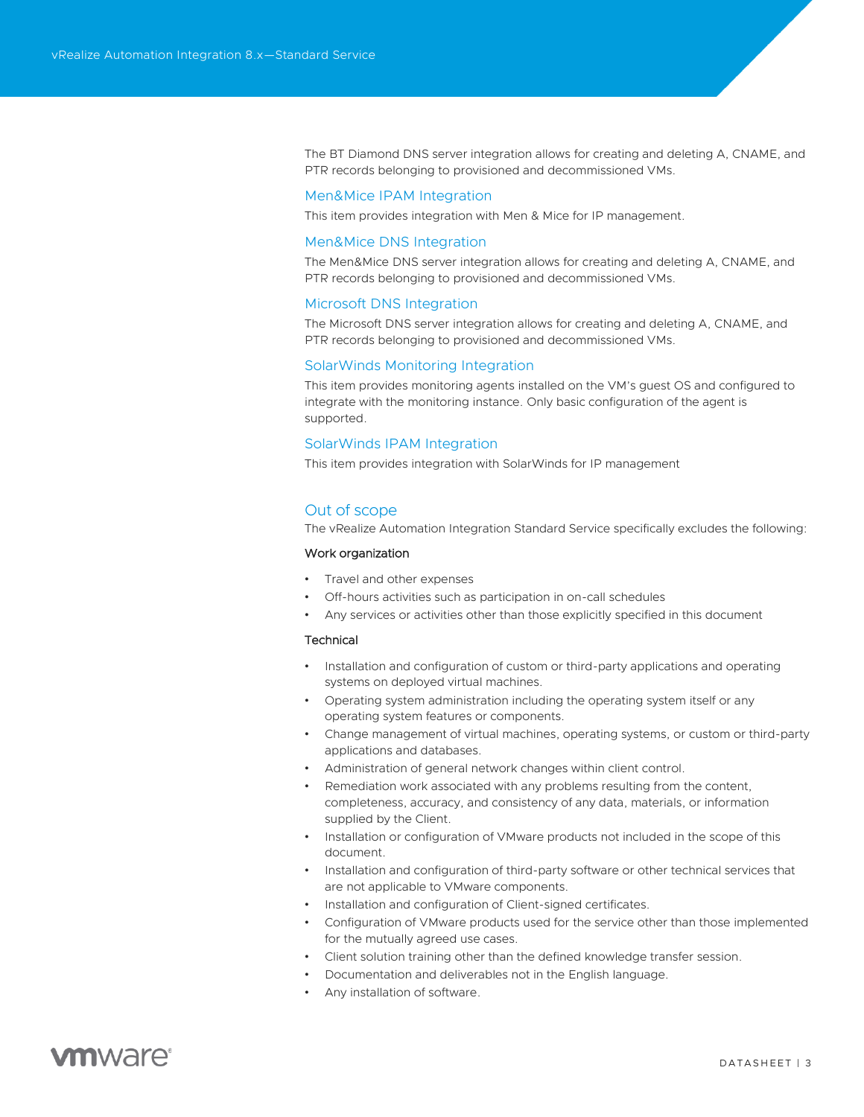The BT Diamond DNS server integration allows for creating and deleting A, CNAME, and PTR records belonging to provisioned and decommissioned VMs.

#### Men&Mice IPAM Integration

This item provides integration with Men & Mice for IP management.

#### Men&Mice DNS Integration

The Men&Mice DNS server integration allows for creating and deleting A, CNAME, and PTR records belonging to provisioned and decommissioned VMs.

#### Microsoft DNS Integration

The Microsoft DNS server integration allows for creating and deleting A, CNAME, and PTR records belonging to provisioned and decommissioned VMs.

# SolarWinds Monitoring Integration

This item provides monitoring agents installed on the VM's guest OS and configured to integrate with the monitoring instance. Only basic configuration of the agent is supported.

### SolarWinds IPAM Integration

This item provides integration with SolarWinds for IP management

#### Out of scope

The vRealize Automation Integration Standard Service specifically excludes the following:

#### Work organization

- Travel and other expenses
- Off-hours activities such as participation in on-call schedules
- Any services or activities other than those explicitly specified in this document

#### **Technical**

- Installation and configuration of custom or third-party applications and operating systems on deployed virtual machines.
- Operating system administration including the operating system itself or any operating system features or components.
- Change management of virtual machines, operating systems, or custom or third-party applications and databases.
- Administration of general network changes within client control.
- Remediation work associated with any problems resulting from the content, completeness, accuracy, and consistency of any data, materials, or information supplied by the Client.
- Installation or configuration of VMware products not included in the scope of this document.
- Installation and configuration of third-party software or other technical services that are not applicable to VMware components.
- Installation and configuration of Client-signed certificates.
- Configuration of VMware products used for the service other than those implemented for the mutually agreed use cases.
- Client solution training other than the defined knowledge transfer session.
- Documentation and deliverables not in the English language.
- Any installation of software.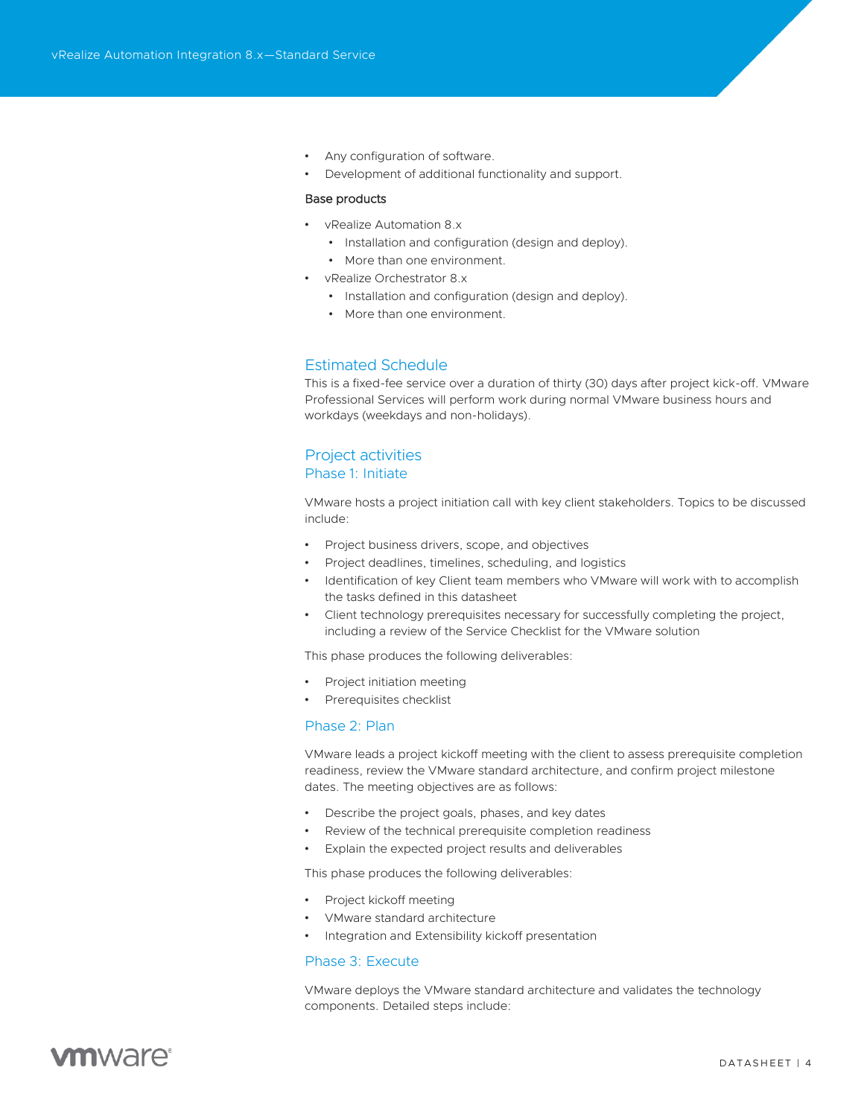- Any configuration of software.
- Development of additional functionality and support.

#### Base products

- vRealize Automation 8.x
	- Installation and configuration (design and deploy).
	- More than one environment.
- vRealize Orchestrator 8.x
	- Installation and configuration (design and deploy).
	- More than one environment.

# Estimated Schedule

This is a fixed-fee service over a duration of thirty (30) days after project kick-off. VMware Professional Services will perform work during normal VMware business hours and workdays (weekdays and non-holidays).

# Project activities

# Phase 1: Initiate

VMware hosts a project initiation call with key client stakeholders. Topics to be discussed include:

- Project business drivers, scope, and objectives
- Project deadlines, timelines, scheduling, and logistics
- Identification of key Client team members who VMware will work with to accomplish the tasks defined in this datasheet
- Client technology prerequisites necessary for successfully completing the project, including a review of the Service Checklist for the VMware solution

This phase produces the following deliverables:

- Project initiation meeting
- Prerequisites checklist

### Phase 2: Plan

VMware leads a project kickoff meeting with the client to assess prerequisite completion readiness, review the VMware standard architecture, and confirm project milestone dates. The meeting objectives are as follows:

- Describe the project goals, phases, and key dates
- Review of the technical prerequisite completion readiness
- Explain the expected project results and deliverables

This phase produces the following deliverables:

- Project kickoff meeting
- VMware standard architecture
- Integration and Extensibility kickoff presentation

### Phase 3: Execute

VMware deploys the VMware standard architecture and validates the technology components. Detailed steps include: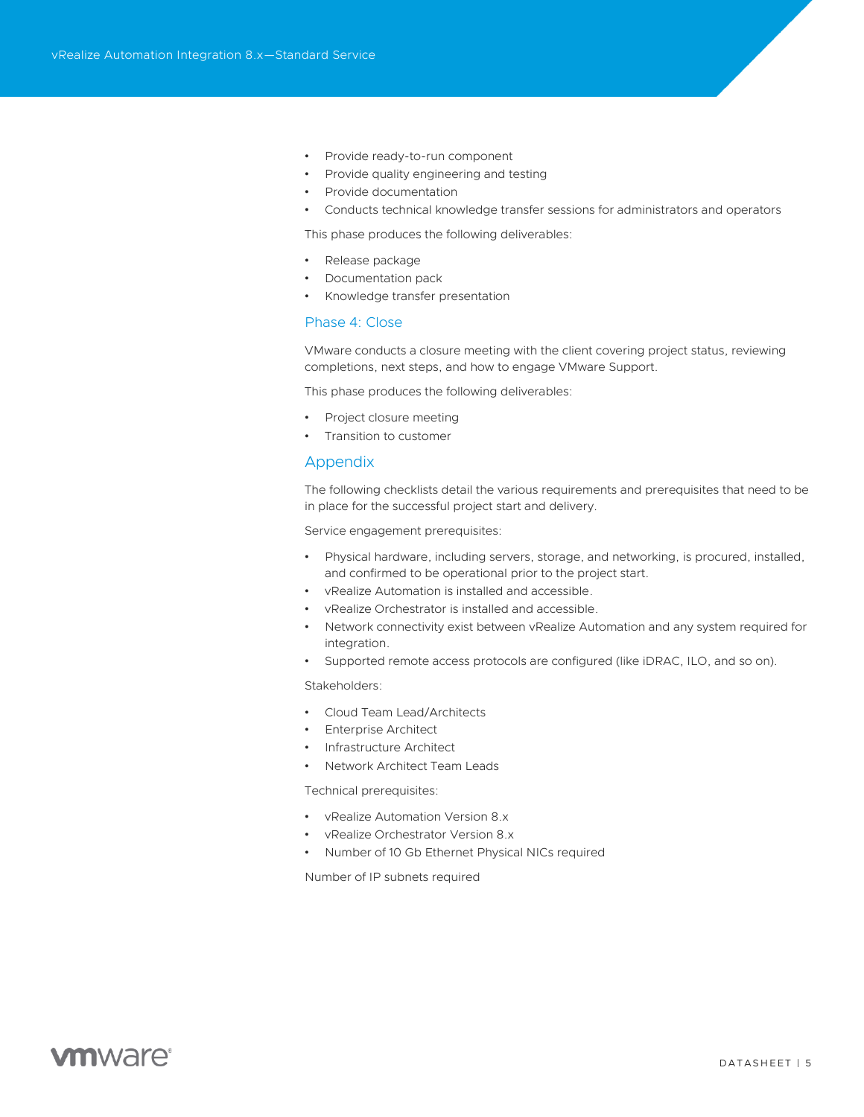- Provide ready-to-run component
- Provide quality engineering and testing
- Provide documentation
- Conducts technical knowledge transfer sessions for administrators and operators

This phase produces the following deliverables:

- Release package
- Documentation pack
- Knowledge transfer presentation

# Phase 4: Close

VMware conducts a closure meeting with the client covering project status, reviewing completions, next steps, and how to engage VMware Support.

This phase produces the following deliverables:

- Project closure meeting
- Transition to customer

#### Appendix

The following checklists detail the various requirements and prerequisites that need to be in place for the successful project start and delivery.

Service engagement prerequisites:

- Physical hardware, including servers, storage, and networking, is procured, installed, and confirmed to be operational prior to the project start.
- vRealize Automation is installed and accessible.
- vRealize Orchestrator is installed and accessible.
- Network connectivity exist between vRealize Automation and any system required for integration.
- Supported remote access protocols are configured (like iDRAC, ILO, and so on).

Stakeholders:

- Cloud Team Lead/Architects
- **Enterprise Architect**
- Infrastructure Architect
- Network Architect Team Leads

Technical prerequisites:

- vRealize Automation Version 8.x
- vRealize Orchestrator Version 8.x
- Number of 10 Gb Ethernet Physical NICs required

Number of IP subnets required